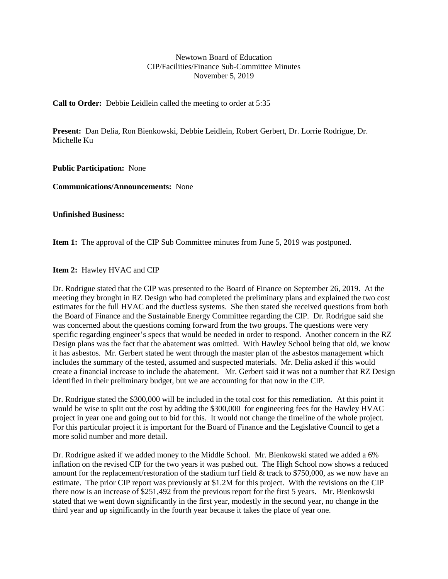## Newtown Board of Education CIP/Facilities/Finance Sub-Committee Minutes November 5, 2019

**Call to Order:** Debbie Leidlein called the meeting to order at 5:35

**Present:** Dan Delia, Ron Bienkowski, Debbie Leidlein, Robert Gerbert, Dr. Lorrie Rodrigue, Dr. Michelle Ku

**Public Participation:** None

**Communications/Announcements:** None

**Unfinished Business:**

**Item 1:** The approval of the CIP Sub Committee minutes from June 5, 2019 was postponed.

**Item 2:** Hawley HVAC and CIP

Dr. Rodrigue stated that the CIP was presented to the Board of Finance on September 26, 2019. At the meeting they brought in RZ Design who had completed the preliminary plans and explained the two cost estimates for the full HVAC and the ductless systems. She then stated she received questions from both the Board of Finance and the Sustainable Energy Committee regarding the CIP. Dr. Rodrigue said she was concerned about the questions coming forward from the two groups. The questions were very specific regarding engineer's specs that would be needed in order to respond. Another concern in the RZ Design plans was the fact that the abatement was omitted. With Hawley School being that old, we know it has asbestos. Mr. Gerbert stated he went through the master plan of the asbestos management which includes the summary of the tested, assumed and suspected materials. Mr. Delia asked if this would create a financial increase to include the abatement. Mr. Gerbert said it was not a number that RZ Design identified in their preliminary budget, but we are accounting for that now in the CIP.

Dr. Rodrigue stated the \$300,000 will be included in the total cost for this remediation. At this point it would be wise to split out the cost by adding the \$300,000 for engineering fees for the Hawley HVAC project in year one and going out to bid for this. It would not change the timeline of the whole project. For this particular project it is important for the Board of Finance and the Legislative Council to get a more solid number and more detail.

Dr. Rodrigue asked if we added money to the Middle School. Mr. Bienkowski stated we added a 6% inflation on the revised CIP for the two years it was pushed out. The High School now shows a reduced amount for the replacement/restoration of the stadium turf field & track to \$750,000, as we now have an estimate. The prior CIP report was previously at \$1.2M for this project. With the revisions on the CIP there now is an increase of \$251,492 from the previous report for the first 5 years. Mr. Bienkowski stated that we went down significantly in the first year, modestly in the second year, no change in the third year and up significantly in the fourth year because it takes the place of year one.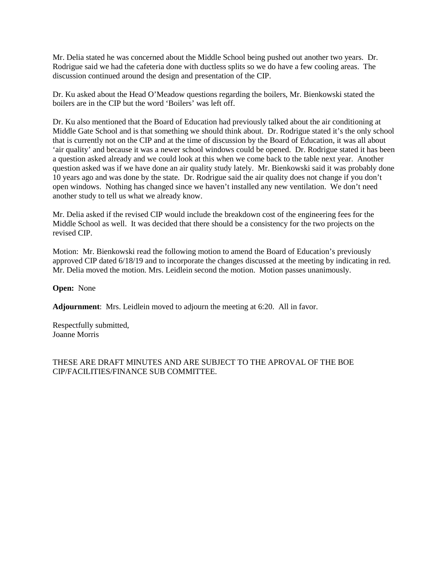Mr. Delia stated he was concerned about the Middle School being pushed out another two years. Dr. Rodrigue said we had the cafeteria done with ductless splits so we do have a few cooling areas. The discussion continued around the design and presentation of the CIP.

Dr. Ku asked about the Head O'Meadow questions regarding the boilers, Mr. Bienkowski stated the boilers are in the CIP but the word 'Boilers' was left off.

Dr. Ku also mentioned that the Board of Education had previously talked about the air conditioning at Middle Gate School and is that something we should think about. Dr. Rodrigue stated it's the only school that is currently not on the CIP and at the time of discussion by the Board of Education, it was all about 'air quality' and because it was a newer school windows could be opened. Dr. Rodrigue stated it has been a question asked already and we could look at this when we come back to the table next year. Another question asked was if we have done an air quality study lately. Mr. Bienkowski said it was probably done 10 years ago and was done by the state. Dr. Rodrigue said the air quality does not change if you don't open windows. Nothing has changed since we haven't installed any new ventilation. We don't need another study to tell us what we already know.

Mr. Delia asked if the revised CIP would include the breakdown cost of the engineering fees for the Middle School as well. It was decided that there should be a consistency for the two projects on the revised CIP.

Motion: Mr. Bienkowski read the following motion to amend the Board of Education's previously approved CIP dated 6/18/19 and to incorporate the changes discussed at the meeting by indicating in red. Mr. Delia moved the motion. Mrs. Leidlein second the motion. Motion passes unanimously.

**Open:** None

**Adjournment**: Mrs. Leidlein moved to adjourn the meeting at 6:20. All in favor.

Respectfully submitted, Joanne Morris

THESE ARE DRAFT MINUTES AND ARE SUBJECT TO THE APROVAL OF THE BOE CIP/FACILITIES/FINANCE SUB COMMITTEE.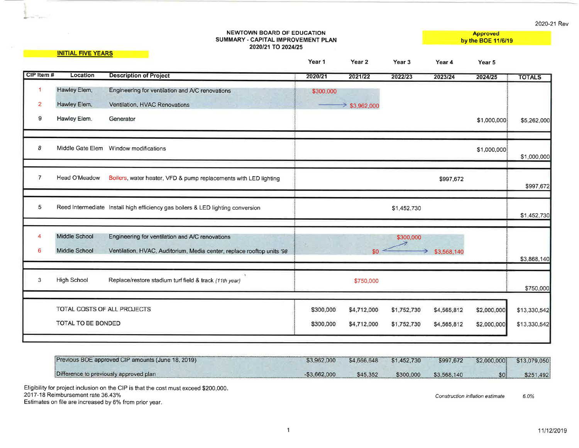2020-21 Rev

|                | NEWTOWN BOARD OF EDUCATION<br>SUMMARY - CAPITAL IMPROVEMENT PLAN<br>2020/21 TO 2024/25 |                                                                                 |           |                    |                   |             | <b>Approved</b><br>by the BOE 11/6/19 |               |
|----------------|----------------------------------------------------------------------------------------|---------------------------------------------------------------------------------|-----------|--------------------|-------------------|-------------|---------------------------------------|---------------|
|                | <b>INITIAL FIVE YEARS</b>                                                              |                                                                                 | Year 1    | Year 2             | Year <sub>3</sub> | Year 4      | Year 5                                |               |
| CIP Item #     | Location                                                                               | <b>Description of Project</b>                                                   | 2020/21   | 2021/22            | 2022/23           | 2023/24     | 2024/25                               | <b>TOTALS</b> |
| 1              | Hawley Elem.                                                                           | Engineering for ventilation and A/C renovations                                 | \$300,000 |                    |                   |             |                                       |               |
| 2              | Hawley Elem.                                                                           | Ventilation, HVAC Renovations                                                   |           | $\geq$ \$3,962,000 |                   |             |                                       |               |
| 9              | Hawley Elem.                                                                           | Generator                                                                       |           |                    |                   |             | \$1,000,000                           | \$5,262,000   |
|                |                                                                                        |                                                                                 |           |                    |                   |             |                                       |               |
| 8              | Middle Gate Elem                                                                       | Window modifications                                                            |           |                    |                   |             | \$1,000,000                           | \$1,000,000   |
|                |                                                                                        |                                                                                 |           |                    |                   |             |                                       |               |
| $\overline{7}$ | Head O'Meadow                                                                          | Boilers, water heater, VFD & pump replacements with LED lighting                |           |                    |                   | \$997,672   |                                       | \$997,672     |
|                |                                                                                        |                                                                                 |           |                    |                   |             |                                       |               |
| 5              |                                                                                        | Reed Intermediate Install high efficiency gas boilers & LED lighting conversion |           |                    | \$1,452,730       |             |                                       | \$1,452,730   |
|                |                                                                                        |                                                                                 |           |                    |                   |             |                                       |               |
| 4              | <b>Middle School</b>                                                                   | Engineering for ventilation and A/C renovations                                 |           |                    | \$300,000         |             |                                       |               |
| $6\phantom{1}$ | Middle School                                                                          | Ventilation, HVAC, Auditorium, Media center, replace rooftop units '98          |           | \$0                |                   | \$3,568,140 |                                       |               |
|                |                                                                                        |                                                                                 |           |                    |                   |             |                                       | \$3,868,140   |
|                |                                                                                        |                                                                                 |           |                    |                   |             |                                       |               |
| 3              | High School                                                                            | Replace/restore stadium turf field & track (11th year)                          |           | \$750,000          |                   |             |                                       | \$750,000     |
|                |                                                                                        |                                                                                 |           |                    |                   |             |                                       |               |
|                | TOTAL COSTS OF ALL PROJECTS                                                            |                                                                                 | \$300,000 | \$4,712,000        | \$1,752,730       | \$4,565,812 | \$2,000,000                           | \$13,330,542  |
|                | TOTAL TO BE BONDED                                                                     |                                                                                 | \$300,000 | \$4,712,000        | \$1,752,730       | \$4,565,812 | \$2,000,000                           | \$13,330,542  |
|                |                                                                                        |                                                                                 |           |                    |                   |             |                                       |               |

| Previous BOE approved CIP amounts (June 18, 2019) | \$3,962,000     | \$4,666,648 \$1,452,730 |           | \$997,672   | \$2,000,000 \$13,079,050 |           |
|---------------------------------------------------|-----------------|-------------------------|-----------|-------------|--------------------------|-----------|
| Difference to previously approved plan            | $-$ \$3,662,000 | \$45,352                | \$300,000 | \$3,568,140 |                          | \$251,492 |

Eligibility for project inclusion on the CIP is that the cost must exceed \$200,000.<br>2017-18 Reimbursement rate 36.43%

a Tar

Estimates on file are increased by 6% from prior year.

Construction inflation estimate  $6.0%$